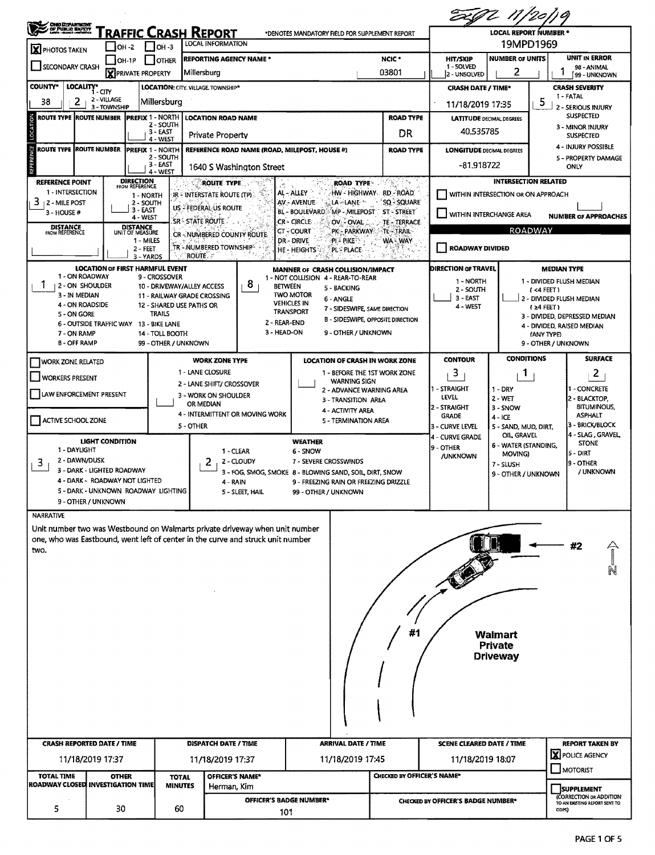| <b>OMO DEPARTMENT</b><br>, OF PUBLIC BAFETY<br>RAFFIC CRASH REPORT<br>*DENOTES MANDATORY FIELD FOR SUPPLEMENT REPORT |                            |                                                           |                                |                                                                                                                                                                |                                                                                  |                                               |                                                                                    | <b>LOCAL REPORT NUMBER *</b>                               |                                           |  |  |  |
|----------------------------------------------------------------------------------------------------------------------|----------------------------|-----------------------------------------------------------|--------------------------------|----------------------------------------------------------------------------------------------------------------------------------------------------------------|----------------------------------------------------------------------------------|-----------------------------------------------|------------------------------------------------------------------------------------|------------------------------------------------------------|-------------------------------------------|--|--|--|
| <b>X</b> PHOTOS TAKEN                                                                                                | $IOH -2$                   | 1он -з                                                    |                                | LOCAL INFORMATION                                                                                                                                              |                                                                                  | 19MPD1969                                     |                                                                                    |                                                            |                                           |  |  |  |
| IOH-1P<br><b>OTHER</b><br><b>SECONDARY CRASH</b><br><b>X</b> PRIVATE PROPERTY                                        |                            |                                                           |                                | <b>REPORTING AGENCY NAME *</b>                                                                                                                                 | NCIC <sup>*</sup>                                                                | <b>HIT/SKIP</b><br>1 - SOLVED<br>2 - UNSOLVED | <b>NUMBER OF UNITS</b><br>2                                                        | UNIT IN ERROR<br>98 - ANIMAL<br>99 - UNKNOWN               |                                           |  |  |  |
| <b>COUNTY*</b><br>LOCALITY* CITY                                                                                     |                            |                                                           |                                | 03801<br>Millersburg<br>LOCATION: CITY. VILLAGE. TOWNSHIP*                                                                                                     |                                                                                  |                                               |                                                                                    | <b>CRASH SEVERITY</b><br><b>CRASH DATE / TIME*</b>         |                                           |  |  |  |
| 2<br>38                                                                                                              | 2 - VILLAGE                | Millersburg                                               |                                |                                                                                                                                                                |                                                                                  |                                               | 11/18/2019 17:35                                                                   |                                                            | 1 - FATAL<br>5                            |  |  |  |
| <b>ROUTE TYPE IROUTE NUMBER</b>                                                                                      | 3 - TOWNSHIP               | <b>PREFIX 1 - NORTH</b>                                   |                                | <b>LOCATION ROAD NAME</b>                                                                                                                                      |                                                                                  | <b>ROAD TYPE</b>                              | <b>LATITUDE DECIMAL DEGREES</b>                                                    | <b>2 - SERIOUS INJURY</b><br><b>SUSPECTED</b>              |                                           |  |  |  |
|                                                                                                                      |                            | 2 - SOUTH<br>$3 - EAST$                                   |                                | Private Property                                                                                                                                               |                                                                                  | DR                                            | 40.535785                                                                          |                                                            | 3 - MINOR INJURY<br><b>SUSPECTED</b>      |  |  |  |
| ROUTE TYPE ROUTE NUMBER                                                                                              |                            | 4 - WEST<br><b>PREFIX 1 - NORTH</b>                       |                                | REFERENCE ROAD NAME (ROAD, MILEPOST, HOUSE #)                                                                                                                  |                                                                                  | <b>ROAD TYPE</b>                              | <b>LONGITUDE DECIMAL DEGREES</b>                                                   |                                                            | 4 - INJURY POSSIBLE                       |  |  |  |
| 2 - SOUTH<br>3 - EAST<br>4 - WEST                                                                                    |                            |                                                           |                                | 1640 S Washington Street                                                                                                                                       | -81.918722                                                                       |                                               | 5 - PROPERTY DAMAGE<br>ONLY                                                        |                                                            |                                           |  |  |  |
| <b>REFERENCE POINT</b>                                                                                               |                            | <b>DIRECTION</b><br>FROM REFERENCE                        |                                | ROUTE TYPE                                                                                                                                                     | <b>ROAD TYPE:</b>                                                                | 1763 m                                        | <b>INTERSECTION RELATED</b>                                                        |                                                            |                                           |  |  |  |
| 1 - INTERSECTION<br>3<br><b>12 - MILE POST</b>                                                                       |                            | 1 - NORTH<br>2 - SOUTH                                    |                                | IR - INTERSTATE ROUTE (TP)                                                                                                                                     | AL-ALLEY<br>HW - HIGHWAY RD - ROAD<br>AV - AVENUE<br>LA - LANE                   | SQ - SQUARE                                   |                                                                                    | WITHIN INTERSECTION OR ON APPROACH                         |                                           |  |  |  |
| 3 - HOUSE #                                                                                                          |                            | 3 - EAST<br>4 - WEST                                      |                                | US - FEDERAL US ROUTE                                                                                                                                          | MP - MILEPOST ST - STREET<br><b>BL - BOULEVARD</b>                               |                                               | WITHIN INTERCHANGE AREA<br><b>NUMBER OF APPROACHES</b>                             |                                                            |                                           |  |  |  |
| <b>DISTANCE</b><br>FROM REFERENCE                                                                                    |                            | <b>DISTANCE</b><br>UNIT OF MEASURE                        | SR - STATE ROUTE               |                                                                                                                                                                | CR - CIRCLE<br><b>OV-FOVAL</b><br><b>CT-COURT</b><br>PK - PARKWAY - TE - TRAIL-  | TE - TERRACE.                                 |                                                                                    | <b>ROADWAY</b>                                             |                                           |  |  |  |
|                                                                                                                      |                            | 1 - MILES<br>2 - FEET                                     |                                | CR-NUMBERED COUNTY ROUTE<br>TR - NUMBERED TOWNSHIP                                                                                                             | DR-DRIVE<br><b>PI PIKE</b> <sup>15</sup><br><b>HE-HEIGHTS</b><br><b>PL-PLACE</b> | <b>ROADWAY DIVIDED</b>                        |                                                                                    |                                                            |                                           |  |  |  |
|                                                                                                                      |                            | 3 - YARDS<br><b>LOCATION OF FIRST HARMFUL EVENT</b>       | <b>ROUTE.</b>                  |                                                                                                                                                                | u≌.<br><b>MANNER OF CRASH COLLISION/IMPACT</b>                                   |                                               | <b>DIRECTION OF TRAVEL</b>                                                         |                                                            | <b>MEDIAN TYPE</b>                        |  |  |  |
| 1 - ON ROADWAY<br><b>12-ON SHOULDER</b>                                                                              |                            | 9 - CROSSOVER<br>10 - DRIVEWAY/ALLEY ACCESS               |                                | 8                                                                                                                                                              | 1 - NOT COLLISION 4 - REAR-TO-REAR<br><b>BETWEEN</b><br>5 - BACKING              |                                               | 1 - NORTH                                                                          |                                                            | 1 - DIVIDED FLUSH MEDIAN                  |  |  |  |
| 3 - IN MEDIAN                                                                                                        |                            | 11 - RAILWAY GRADE CROSSING                               |                                |                                                                                                                                                                | <b>TWO MOTOR</b><br>6 - ANGLE                                                    |                                               | 2 - SOUTH<br>3 - EAST                                                              |                                                            | $1 - 4$ FEET)<br>2 - DIVIDED FLUSH MEDIAN |  |  |  |
| 4 - ON ROADSIDE<br>5 - ON GORE                                                                                       |                            | 12 - SHARED USE PATHS OR<br>TRAILS                        |                                |                                                                                                                                                                | <b>VEHICLES IN</b><br>7 - SIDESWIPE, SAME DIRECTION<br><b>TRANSPORT</b>          |                                               | 4 - WEST                                                                           | $(24$ FEET)<br>3 - DIVIDED, DEPRESSED MEDIAN               |                                           |  |  |  |
| 7 - ON RAMP                                                                                                          |                            | 6 - OUTSIDE TRAFFIC WAY 13 - BIKE LANE<br>14 - TOLL BOOTH |                                | 2 - REAR-END<br>3 - HEAD-ON                                                                                                                                    | <b>B - SIDESWIPE, OPPOSITE DIRECTION</b><br>9 - OTHER / UNKNOWN                  |                                               | 4 - DIVIDED, RAISED MEDIAN                                                         |                                                            |                                           |  |  |  |
| <b>B-OFF RAMP</b>                                                                                                    |                            | 99 - OTHER / UNKNOWN                                      |                                |                                                                                                                                                                |                                                                                  |                                               |                                                                                    |                                                            | (ANY TYPE)<br>9 - OTHER / UNKNOWN         |  |  |  |
| <b>WORK ZONE RELATED</b>                                                                                             |                            |                                                           |                                | <b>WORK ZONE TYPE</b>                                                                                                                                          | <b>LOCATION OF CRASH IN WORK ZONE</b>                                            |                                               | <b>CONTOUR</b>                                                                     | <b>CONDITIONS</b>                                          | <b>SURFACE</b>                            |  |  |  |
| <b>WORKERS PRESENT</b>                                                                                               |                            |                                                           |                                | 1 - LANE CLOSURE                                                                                                                                               | 1 - BEFORE THE 1ST WORK ZONE<br><b>WARNING SIGN</b>                              |                                               | 3                                                                                  | 1                                                          | 2                                         |  |  |  |
| LAW ENFORCEMENT PRESENT                                                                                              |                            |                                                           |                                | 2 - LANE SHIFT/ CROSSOVER<br>3 - WORK ON SHOULDER                                                                                                              | 2 - ADVANCE WARNING AREA                                                         |                                               | 1 - STRAIGHT<br>LEVEL                                                              | $1 - DRY$                                                  | <b>- CONCRETE</b>                         |  |  |  |
|                                                                                                                      |                            |                                                           |                                | OR MEDIAN                                                                                                                                                      | 3 - TRANSITION AREA<br>4 - ACTIVITY AREA                                         | 2 - STRAIGHT                                  | $2 - WET$<br>3 - SNOW                                                              | 2 - BLACKTOP.<br><b>BITUMINOUS,</b>                        |                                           |  |  |  |
| ACTIVE SCHOOL ZONE                                                                                                   |                            |                                                           | 5 - OTHER                      | 4 - INTERMITTENT OR MOVING WORK                                                                                                                                | 5 - TERMINATION AREA                                                             |                                               | <b>GRADE</b><br>3 - CURVE LEVEL                                                    | $4 - ICE$<br>5 - SAND, MUD, DIRT,                          | <b>ASPHALT</b><br>3 - BRICK/BLOCK         |  |  |  |
|                                                                                                                      | <b>LIGHT CONDITION</b>     |                                                           |                                |                                                                                                                                                                | WEATHER                                                                          |                                               | <b>4 - CURVE GRADE</b>                                                             | OIL, GRAVEL<br>6 - WATER (STANDING,                        | 4 - SLAG, GRAVEL<br><b>STONE</b>          |  |  |  |
| 1 - DAYLIGHT<br>1 - CLEAR<br>2 - DAWN/DUSK                                                                           |                            |                                                           |                                |                                                                                                                                                                | 6 - SNOW<br>7 - SEVERE CROSSWINDS                                                |                                               | 9 - OTHER<br>/UNKNOWN                                                              | MOVING)                                                    | S - DIRT                                  |  |  |  |
| $\overline{3}$                                                                                                       | 3 - DARK - LIGHTED ROADWAY |                                                           |                                | 2<br>2 - CLOUDY                                                                                                                                                | 3 - FOG, SMOG, SMOKE 8 - BLOWING SAND, SOIL, DIRT, SNOW                          |                                               |                                                                                    | 7 - SLUSH<br>9 - OTHER / UNKNOWN                           | <b>9 - OTHER</b><br>/ UNKNOWN             |  |  |  |
| 4 - DARK - ROADWAY NOT LIGHTED<br>5 - DARK - UNKNOWN ROADWAY LIGHTING                                                |                            |                                                           |                                | 4 - RAIN<br>5 - SLEET, HAIL                                                                                                                                    | 9 - FREEZING RAIN OR FREEZING DRIZZLE<br>99 - OTHER / UNKNOWN                    |                                               |                                                                                    |                                                            |                                           |  |  |  |
|                                                                                                                      | 9 - OTHER / UNKNOWN        |                                                           |                                |                                                                                                                                                                |                                                                                  |                                               |                                                                                    |                                                            |                                           |  |  |  |
| <b>NARRATIVE</b>                                                                                                     |                            |                                                           |                                |                                                                                                                                                                |                                                                                  |                                               |                                                                                    |                                                            |                                           |  |  |  |
|                                                                                                                      |                            |                                                           |                                | Unit number two was Westbound on Walmarts private driveway when unit number<br>one, who was Eastbound, went left of center in the curve and struck unit number |                                                                                  |                                               |                                                                                    |                                                            |                                           |  |  |  |
| two.                                                                                                                 |                            |                                                           |                                |                                                                                                                                                                |                                                                                  |                                               |                                                                                    |                                                            | #2                                        |  |  |  |
|                                                                                                                      |                            |                                                           |                                |                                                                                                                                                                |                                                                                  |                                               |                                                                                    |                                                            |                                           |  |  |  |
|                                                                                                                      |                            |                                                           |                                |                                                                                                                                                                |                                                                                  |                                               |                                                                                    |                                                            |                                           |  |  |  |
|                                                                                                                      |                            |                                                           |                                |                                                                                                                                                                |                                                                                  |                                               |                                                                                    |                                                            |                                           |  |  |  |
|                                                                                                                      |                            |                                                           |                                |                                                                                                                                                                |                                                                                  |                                               |                                                                                    |                                                            |                                           |  |  |  |
|                                                                                                                      |                            |                                                           |                                |                                                                                                                                                                |                                                                                  | #1                                            |                                                                                    | <b>Walmart</b>                                             |                                           |  |  |  |
|                                                                                                                      |                            |                                                           |                                |                                                                                                                                                                |                                                                                  |                                               |                                                                                    | <b>Private</b>                                             |                                           |  |  |  |
|                                                                                                                      |                            |                                                           |                                |                                                                                                                                                                |                                                                                  |                                               |                                                                                    | <b>Driveway</b>                                            |                                           |  |  |  |
|                                                                                                                      |                            |                                                           |                                |                                                                                                                                                                |                                                                                  |                                               |                                                                                    |                                                            |                                           |  |  |  |
|                                                                                                                      |                            |                                                           |                                |                                                                                                                                                                |                                                                                  |                                               |                                                                                    |                                                            |                                           |  |  |  |
|                                                                                                                      |                            |                                                           |                                |                                                                                                                                                                |                                                                                  |                                               |                                                                                    |                                                            |                                           |  |  |  |
|                                                                                                                      |                            |                                                           |                                |                                                                                                                                                                |                                                                                  |                                               |                                                                                    |                                                            |                                           |  |  |  |
| <b>CRASH REPORTED DATE / TIME</b>                                                                                    |                            |                                                           |                                | <b>DISPATCH DATE / TIME</b>                                                                                                                                    | <b>ARRIVAL DATE / TIME</b>                                                       |                                               |                                                                                    | <b>SCENE CLEARED DATE / TIME</b><br><b>REPORT TAKEN BY</b> |                                           |  |  |  |
|                                                                                                                      | 11/18/2019 17:37           |                                                           |                                | 11/18/2019 17:45<br>11/18/2019 17:37                                                                                                                           |                                                                                  |                                               | Y POLICE AGENCY<br>11/18/2019 18:07                                                |                                                            |                                           |  |  |  |
| <b>TOTAL TIME</b><br><b>ROADWAY CLOSED INVESTIGATION TIME</b>                                                        | <b>OTHER</b>               |                                                           | <b>TOTAL</b><br><b>MINUTES</b> | OFFICER'S NAME*                                                                                                                                                |                                                                                  | <b>CHECKED BY OFFICER'S NAME*</b>             | MOTORIST                                                                           |                                                            |                                           |  |  |  |
|                                                                                                                      |                            |                                                           |                                | Herman, Kim<br><b>OFFICER'S BADGE NUMBER*</b>                                                                                                                  |                                                                                  |                                               | <b>SUPPLEMENT</b><br>(CORRECTION OR ADDITION<br>CHECKED BY OFFICER'S BADGE NUMBER* |                                                            |                                           |  |  |  |
| 5                                                                                                                    | 30                         |                                                           | 60                             |                                                                                                                                                                | 101                                                                              |                                               |                                                                                    | TO AN EXISTING REPORT SENT TO<br>CDPS)                     |                                           |  |  |  |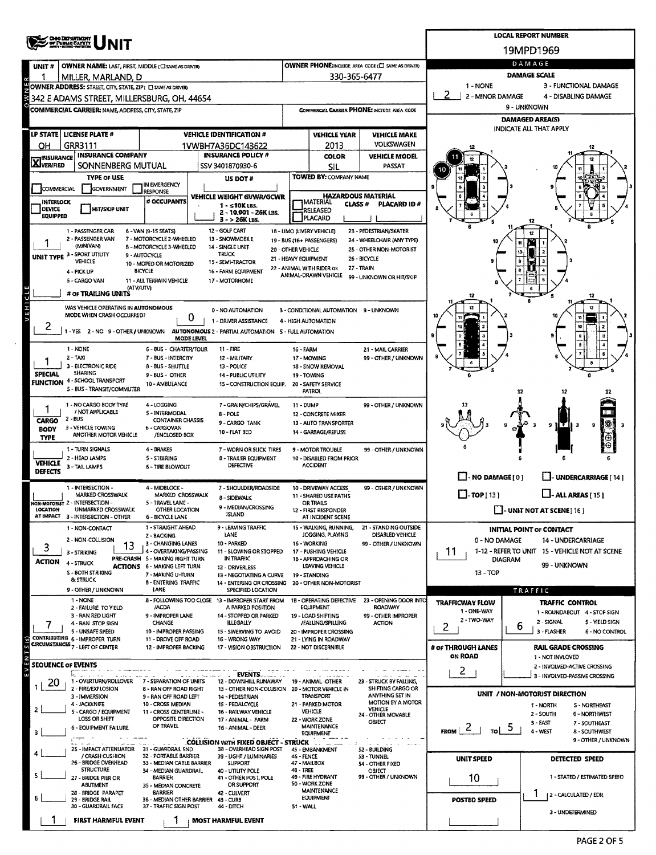|                                                                                                                                                         | <b>CHO DEPARTICIAT</b><br>OF PUBLIC SAFETT                                                                                                            |                                                           | <b>LOCAL REPORT NUMBER</b>                                            |                                                                    |                                                   |                                                          |                                                          |                                                                  |  |  |  |
|---------------------------------------------------------------------------------------------------------------------------------------------------------|-------------------------------------------------------------------------------------------------------------------------------------------------------|-----------------------------------------------------------|-----------------------------------------------------------------------|--------------------------------------------------------------------|---------------------------------------------------|----------------------------------------------------------|----------------------------------------------------------|------------------------------------------------------------------|--|--|--|
|                                                                                                                                                         |                                                                                                                                                       |                                                           | 19MPD1969                                                             |                                                                    |                                                   |                                                          |                                                          |                                                                  |  |  |  |
| UNIT#                                                                                                                                                   | <b>OWNER NAME: LAST, FIRST, MIDDLE (CI SAME AS DRIVER)</b>                                                                                            |                                                           |                                                                       |                                                                    |                                                   | <b>OWNER PHONE:INCLUDE AREA CODE (C) SAME AS DRIVER)</b> | DAMAGE                                                   |                                                                  |  |  |  |
|                                                                                                                                                         | MILLER, MARLAND, D                                                                                                                                    |                                                           |                                                                       |                                                                    | 330-365-6477                                      |                                                          | <b>DAMAGE SCALE</b><br>1 - NONE<br>3 - FUNCTIONAL DAMAGE |                                                                  |  |  |  |
| w                                                                                                                                                       | OWNER ADDRESS: STREET, CITY, STATE, ZIP ( C) SAME AS DRIVER)<br>342 E ADAMS STREET, MILLERSBURG, OH, 44654                                            |                                                           |                                                                       | 2<br>2 - MINOR DAMAGE<br>4 - DISABLING DAMAGE                      |                                                   |                                                          |                                                          |                                                                  |  |  |  |
|                                                                                                                                                         | <b>COMMERCIAL CARRIER: NAME, ADDRESS, CITY, STATE, ZIP</b>                                                                                            |                                                           |                                                                       |                                                                    |                                                   | COMMERCIAL CARRIER PHONE: INCLUDE AREA CODE              |                                                          | 9 - UNKNOWN                                                      |  |  |  |
|                                                                                                                                                         |                                                                                                                                                       |                                                           |                                                                       |                                                                    |                                                   |                                                          |                                                          | <b>DAMAGED AREA(S)</b>                                           |  |  |  |
|                                                                                                                                                         | LP STATE   LICENSE PLATE #                                                                                                                            |                                                           | <b>VEHICLE IDENTIFICATION #</b>                                       |                                                                    | <b>VEHICLE YEAR</b>                               | <b>VEHICLE MAKE</b>                                      |                                                          | <b>INDICATE ALL THAT APPLY</b>                                   |  |  |  |
| OН                                                                                                                                                      | GRR3111                                                                                                                                               | 1VWBH7A36DC143622                                         |                                                                       | 2013                                                               | <b>VOLKSWAGEN</b>                                 |                                                          |                                                          |                                                                  |  |  |  |
| <b>X</b> INSURANCE                                                                                                                                      | <b>INSURANCE COMPANY</b>                                                                                                                              | <b>INSURANCE POLICY #</b>                                 |                                                                       | <b>COLOR</b>                                                       | <b>VEHICLE MODEL</b>                              |                                                          |                                                          |                                                                  |  |  |  |
|                                                                                                                                                         | SONNENBERG MUTUAL                                                                                                                                     | SSV 3401870930-6                                          |                                                                       |                                                                    | SIL                                               | PASSAT                                                   |                                                          |                                                                  |  |  |  |
| <b>TYPE OF USE</b><br>IN EMERGENCY                                                                                                                      |                                                                                                                                                       |                                                           | US DOT #                                                              |                                                                    | <b>TOWED BY: COMPANY NAME</b>                     |                                                          |                                                          |                                                                  |  |  |  |
| COMMERCIAL                                                                                                                                              | <b>SOVERNMENT</b>                                                                                                                                     | <b>RESPONSE</b>                                           | VEHICLE WEIGHT GVWR/GCWR                                              |                                                                    | <b>HAZARDOUS MATERIAL</b>                         |                                                          |                                                          |                                                                  |  |  |  |
| <b>INTERLOCK</b><br><b>DEVICE</b>                                                                                                                       | <b>HIT/SKIP UNIT</b>                                                                                                                                  | # OCCUPANTS                                               | $1 - 510$ KLBS.<br>2 - 10.001 - 26K LBS.                              |                                                                    | <b>IMATERIAL</b><br>CLASS#<br>RELEASED            | <b>PLACARD ID#</b>                                       |                                                          |                                                                  |  |  |  |
| <b>EQUIPPED</b>                                                                                                                                         |                                                                                                                                                       |                                                           | 3 - > 26K LBS.                                                        |                                                                    | PLACARD                                           |                                                          |                                                          | 12                                                               |  |  |  |
|                                                                                                                                                         | 1 - PASSENGER CAR                                                                                                                                     | 6 - VAN (9-15 SEATS)                                      | 12 - GOLF CART                                                        |                                                                    | 18 - LIMO (LIVERY VEHICLE)                        | 23 - PEDESTRIAN/SKATER                                   |                                                          |                                                                  |  |  |  |
|                                                                                                                                                         | 2 - PASSENGER VAN<br>(MINIVAN)                                                                                                                        | 7 - MOTORCYCLE 2-WHEELED<br>8 - MOTORCYCLE 3-WHEELED      | 13 - SNOWMOBILE<br>14 - SINGLE UNIT                                   | 20 - OTHER VEHICLE                                                 | 19 - BUS (16+ PASSENGERS)                         | 24 - WHEELCHAIR (ANY TYPE)<br>25 - OTHER NON-MOTORIST    |                                                          |                                                                  |  |  |  |
|                                                                                                                                                         | UNIT TYPE 3 - SPORT UTILITY<br>VEHICLE                                                                                                                | 9 - AUTOCYCLE<br>10 - MOPED OR MOTORIZED                  | <b>TRUCK</b><br>15 - SEMI-TRACTOR                                     | 21 - HEAVY EQUIPMENT                                               |                                                   | 26 - BICYCLE                                             |                                                          |                                                                  |  |  |  |
|                                                                                                                                                         | 4 - PICK UP                                                                                                                                           | BICYCLE                                                   | 16 - FARM EQUIPMENT                                                   |                                                                    | 22 - ANIMAL WITH RIDER OR<br>ANIMAL-DRAWN VEHICLE | 27 - TRAIN                                               |                                                          |                                                                  |  |  |  |
|                                                                                                                                                         | 5 - CARGO VAN<br>(ATV/UTV)                                                                                                                            | 11 - ALL TERRAIN VEHICLE                                  | 17 MOTORHOME                                                          |                                                                    |                                                   | 99 - UNKNOWN OR HIT/SKIP                                 |                                                          |                                                                  |  |  |  |
|                                                                                                                                                         | # OF TRAILING UNITS                                                                                                                                   |                                                           |                                                                       |                                                                    |                                                   |                                                          |                                                          |                                                                  |  |  |  |
| VEHICL                                                                                                                                                  | WAS VEHICLE OPERATING IN AUTONOMOUS                                                                                                                   |                                                           | 0 - NO AUTOMATION                                                     |                                                                    | 3 - CONDITIONAL AUTOMATION 9 - UNKNOWN            |                                                          |                                                          |                                                                  |  |  |  |
|                                                                                                                                                         | MODE WHEN CRASH OCCURRED?                                                                                                                             | 0                                                         | 1 - DRIVER ASSISTANCE                                                 |                                                                    | 4 - HIGH AUTOMATION                               |                                                          |                                                          |                                                                  |  |  |  |
|                                                                                                                                                         | -YES 2-NO 9-OTHER/UNKNOWN                                                                                                                             | <b>MODE LEVEL</b>                                         | AUTONOMOUS 2 - PARTIAL AUTOMATION 5 - FULL AUTOMATION                 |                                                                    |                                                   |                                                          |                                                          |                                                                  |  |  |  |
|                                                                                                                                                         | 1 - NONE                                                                                                                                              | 6 - BUS - CHARTER/TOUR                                    | 11 - FIRE                                                             | <b>16 - FARM</b>                                                   |                                                   | 21 - MAIL CARRIER                                        |                                                          |                                                                  |  |  |  |
|                                                                                                                                                         | $2 - TAXI$                                                                                                                                            | 7 - BUS - INTERCITY                                       | 12 - MILITARY                                                         | 99 - OTHER / UNKNOWN<br>17 - MOWING<br>18 - SNOW REMOVAL           |                                                   |                                                          |                                                          |                                                                  |  |  |  |
| <b>SPECIAL</b>                                                                                                                                          | 3 - ELECTRONIC RIDE<br><b>SHARING</b>                                                                                                                 | 8 - BUS - SHUTTLE                                         | 13 - POLICE                                                           |                                                                    |                                                   |                                                          |                                                          |                                                                  |  |  |  |
|                                                                                                                                                         | <b>FUNCTION 4 - SCHOOL TRANSPORT</b>                                                                                                                  | 9 - BUS - OTHER<br>10 - AMBLILANCE                        | <b>14 - PUBLIC UTILITY</b><br>15 - CONSTRUCTION EQUIP.                |                                                                    | 19 - TOWING<br>20 - SAFETY SERVICE                |                                                          |                                                          |                                                                  |  |  |  |
|                                                                                                                                                         | 5 - BUS - TRANSIT/COMMUTER                                                                                                                            |                                                           |                                                                       |                                                                    | PATROL                                            |                                                          |                                                          | 12                                                               |  |  |  |
|                                                                                                                                                         | 1 - NO CARGO BODY TYPE                                                                                                                                | 4 - LOGGING                                               | 7 - GRAIN/CHIPS/GRAVEL                                                | 11 - DUMP<br>99 - OTHER / UNKNOWN                                  |                                                   |                                                          |                                                          |                                                                  |  |  |  |
| CARGO                                                                                                                                                   | / NOT APPLICABLE<br>$2 - BUS$                                                                                                                         | 5 - INTERMODAL<br><b>CONTAINER CHASSIS</b>                | 8 - POLE<br>9 - CARGO TANK                                            |                                                                    | 12 - CONCRETE MIXER<br>13 - AUTO TRANSPORTER      |                                                          |                                                          |                                                                  |  |  |  |
| <b>BODY</b>                                                                                                                                             | 3 - VEHICLE TOWING<br><b>ANOTHER MOTOR VEHICLE</b>                                                                                                    | 6 - CARGOVAN<br>/ENCLOSED BOX                             | 10 - FLAT BED                                                         |                                                                    | 14 - GARBAGE/REFUSE                               |                                                          |                                                          | 91<br>l 3<br>9                                                   |  |  |  |
| <b>TYPE</b>                                                                                                                                             |                                                                                                                                                       | 4 - BRAKES                                                |                                                                       |                                                                    |                                                   |                                                          |                                                          |                                                                  |  |  |  |
|                                                                                                                                                         | 1 - TURN SIGNALS<br>2 - HEAD LAMPS                                                                                                                    | 5 - STEERING                                              | 7 - WORN OR SLICK TIRES<br>8 - TRAILER EQUIPMENT                      |                                                                    | 9 - MOTOR TROUBLE<br>10 - DISABLED FROM PRIOR     | 99 - OTHER / UNKNOWN                                     |                                                          |                                                                  |  |  |  |
| VEHICLE<br><b>DEFECTS</b>                                                                                                                               | 3 - TAIL LAMPS                                                                                                                                        | <b>6 - TIRE BLOWOUT</b>                                   | DEFECTIVE                                                             |                                                                    | <b>ACCIDENT</b>                                   |                                                          |                                                          |                                                                  |  |  |  |
|                                                                                                                                                         |                                                                                                                                                       |                                                           |                                                                       |                                                                    |                                                   |                                                          | $\Box$ - NO DAMAGE [ 0 ]                                 | <b>LI-UNDERCARRIAGE</b> [14]                                     |  |  |  |
|                                                                                                                                                         | 1 - INTERSECTION -<br>MARKED CROSSWALK                                                                                                                | 4 - MIDBLOCK -<br>MARKED CROSSWALK                        | 7 - SHOULDER/ROADSIDE<br>8 - SIDEWALK                                 |                                                                    | 10 - DRIVEWAY ACCESS<br>11 - SHARED USE PATHS     | 99 - OTHER / UNKNOWN                                     | $\Box$ -TOP[13]                                          | $\Box$ - ALL AREAS $\Box$ 151                                    |  |  |  |
| LOCATION                                                                                                                                                | NON-MOTORIST 2 - INTERSECTION -<br>UNMARKED CROSSWALK                                                                                                 | 5 - TRAVEL LANE -<br>OTHER LOCATION                       | 9 - MEDIAN/CROSSING                                                   | OR TRAILS<br>12 - FIRST RESPONDER                                  |                                                   |                                                          |                                                          | $\Box$ - UNIT NOT AT SCENE [16]                                  |  |  |  |
|                                                                                                                                                         | AT IMPACT 3 - INTERSECTION - OTHER                                                                                                                    | <b>6 - BICYCLE LANE</b>                                   | <b>ISLAND</b>                                                         |                                                                    | AT INCIDENT SCENE                                 |                                                          |                                                          |                                                                  |  |  |  |
|                                                                                                                                                         | 1 - NON-CONTACT                                                                                                                                       | 1 - STRAIGHT AHEAD<br>2 - BACKING                         | 9 - LEAVING TRAFFIC<br>LANE                                           |                                                                    | 15 - WALKING, RUNNING,<br>JOGGING, PLAYING        | 21 - STANDING OUTSIDE<br>DISABLED VEHICLE                |                                                          | INITIAL POINT OF CONTACT                                         |  |  |  |
| 3                                                                                                                                                       | 2 - NON-COLLISION<br>13                                                                                                                               | 3 - CHANGING LANES                                        | 10 - PARKED                                                           |                                                                    | 16 - WORKING                                      | 99 - OTHER / UNKNOWN                                     | 0 - NO DAMAGE                                            | 14 - UNDERCARRIAGE                                               |  |  |  |
|                                                                                                                                                         | 3 - STRIKING                                                                                                                                          | 4 - OVERTAKING/PASSING<br>PRE-CRASH 5 - MAKING RIGHT TURN | 11 - SLOWING OR STOPPED<br>IN TRAFFIC                                 |                                                                    | 17 - PUSHING VEHICLE<br>18 - APPROACHING OR       |                                                          | 11                                                       | 1-12 - REFER TO UNIT 15 - VEHICLE NOT AT SCENE<br><b>DIAGRAM</b> |  |  |  |
| ACTION                                                                                                                                                  | 4 - STRUCK<br><b>S - BOTH STRIKING</b>                                                                                                                | <b>ACTIONS 6 - MAKING LEFT TURN</b>                       | 12 - DRIVERLESS                                                       |                                                                    | LEAVING VEHICLE                                   |                                                          | 13 - TOP                                                 | 99 - UNKNOWN                                                     |  |  |  |
|                                                                                                                                                         | <b>B: STRUCK</b>                                                                                                                                      | 7 - MAKING U-TURN<br>8 - ENTERING TRAFFIC                 | 13 - NEGOTIATING A CURVE                                              | 19 - STANDING<br>14 - ENTERING OR CROSSING 20 - OTHER NON-MOTORIST |                                                   |                                                          |                                                          |                                                                  |  |  |  |
|                                                                                                                                                         | 9 - OTHER / UNKNOWN                                                                                                                                   | LANE                                                      | SPECIFIED LOCATION                                                    |                                                                    |                                                   |                                                          |                                                          | TRAFFIC                                                          |  |  |  |
|                                                                                                                                                         | 1 - NONE<br>2 - FAILURE TO YIELD                                                                                                                      | /ACDA                                                     | 8 - FOLLOWING TOO CLOSE 13 - IMPROPER START FROM<br>A PARKED POSITION |                                                                    | 18 - OPERATING DEFECTIVE<br><b>EQUIPMENT</b>      | 23 - OPENING DOOR INTO<br>ROADWAY                        | <b>TRAFFICWAY FLOW</b><br>1 - ONE-WAY                    | <b>TRAFFIC CONTROL</b>                                           |  |  |  |
|                                                                                                                                                         | 3 - RAN RED LIGHT<br>4 - RAN STOP SIGN                                                                                                                | 9 - IMPROPER LANE<br>CHANGE                               | 14 - STOPPED OR PARKED<br><b>ILLEGALLY</b>                            |                                                                    | 19 - LOAD SHIFTING<br>/FALUNG/SPILLING            | 99 - OTHER IMPROPER<br><b>ACTION</b>                     | 2 - TWO-WAY                                              | 1 - ROUNDABOUT 4 - STOP SIGN<br>2 - SIGNAL<br>5 - YIELD SIGN     |  |  |  |
|                                                                                                                                                         | 5 - UNSAFE SPEED                                                                                                                                      | 10 - IMPROPER PASSING                                     | 15 - SWERVING TO AVOID                                                |                                                                    | 20 - IMPROPER CROSSING                            |                                                          | 2                                                        | 6<br>3 - FLASHER<br><b>6 - NO CONTROL</b>                        |  |  |  |
| $\frac{1}{2}$                                                                                                                                           | CONTRIBUTING 6 - IMPROPER TURN<br>CIRCUMSTANCES 7 - LEFT OF CENTER                                                                                    | 11 - DROVE OFF ROAD<br>12 IMPROPER BACKING                | 16 - WRONG WAY<br>17 - VISION OBSTRUCTION                             |                                                                    | 21 - LYING IN ROADWAY<br>22 - NOT DISCERNIBLE     |                                                          | # of THROUGH LANES                                       | <b>RAIL GRADE CROSSING</b>                                       |  |  |  |
| E                                                                                                                                                       |                                                                                                                                                       |                                                           |                                                                       |                                                                    |                                                   |                                                          | ON ROAD                                                  | 1 - NOT INVLOVED                                                 |  |  |  |
| SEOUENCE OF EVENTS<br>$\frac{1}{2}$                                                                                                                     |                                                                                                                                                       |                                                           |                                                                       |                                                                    |                                                   |                                                          | 2                                                        | 2 - INVOLVED-ACTIVE CROSSING                                     |  |  |  |
| 20                                                                                                                                                      | عادات والمعاملة<br>1 - OVERTURN/ROLLOVER                                                                                                              | 7 - SEPARATION OF UNITS                                   | <b>EVENTS</b><br>12 - DOWNHILL RUNAWAY                                |                                                                    | <b>CHICAGON H</b><br>19 - ANIMAL -OTHER           | 23 - STRUCK BY FALLING,                                  |                                                          | 3 - INVOLVED-PASSIVE CROSSING                                    |  |  |  |
|                                                                                                                                                         | 2 - FIRE/EXPLOSION<br>3 - IMMERSION                                                                                                                   | 8 - RAN OFF ROAD RIGHT<br>9 - RAN OFF ROAD LEFT           | 13 - OTHER NON-COLLISION 20 - MOTOR VEHICLE IN<br>14 - PEDESTRIAN     |                                                                    | <b>TRANSPORT</b>                                  | SHIFTING CARGO OR<br>ANYTHING SET IN                     |                                                          | UNIT / NON-MOTORIST DIRECTION                                    |  |  |  |
|                                                                                                                                                         | 4 - JACKKNIFE                                                                                                                                         | 10 - CROSS MEDIAN                                         | 15 - PEDALCYCLE                                                       |                                                                    | 21 - PARKED MOTOR                                 | MOTION BY A MOTOR<br><b>VEHICLE</b>                      |                                                          | 1 - NORTH<br><b>S - NORTHEAST</b>                                |  |  |  |
|                                                                                                                                                         | $\mathbf{2}$<br>5 - CARGO / EQUIPMENT<br>11 - CROSS CENTERLINE -<br>16 - RAILWAY VEHICLE<br>LOSS OR SHIFT<br>OPPOSITE DIRECTION<br>17 - ANIMAL - FARM |                                                           |                                                                       |                                                                    | <b>VEHICLE</b><br>22 - WORK ZONE                  | 24 - OTHER MOVABLE<br>OBJECT                             | 2 - SOUTH<br>6 - NORTHWEST                               |                                                                  |  |  |  |
| з.                                                                                                                                                      | 6 - EQUIPMENT FAILURE                                                                                                                                 | OF TRAVEL                                                 | 18 - ANIMAL - DEER                                                    |                                                                    | <b>MAINTENANCE</b><br><b>EQUIPMENT</b>            |                                                          | $\epsilon$<br><b>FROM</b><br>TO I                        | 3 - EAST<br>7 - SOUTHEAST<br>ь<br>4 - WEST<br>8 - SOUTHWEST      |  |  |  |
|                                                                                                                                                         |                                                                                                                                                       |                                                           | COLLISION WITH FIXED OBJECT - STRUCK                                  |                                                                    | <b>A.M. Low South</b>                             |                                                          |                                                          | 9 - OTHER / UNKNOWN                                              |  |  |  |
|                                                                                                                                                         | 25 - IMPACT ATTENUATOR<br>/ CRASH CUSHION                                                                                                             | 31 - GUARDRAIL END<br>32 - PORTABLE BARRIER               | 38 - OVERHEAD SIGN POST<br>39 - UGHT / LUMINARIES                     |                                                                    | 45 - EMBANKMENT                                   | 52 - BUILDING<br>53 - TUNNEL                             | UNIT SPEED                                               | DETECTED SPEED                                                   |  |  |  |
|                                                                                                                                                         | 26 - BRIDGE OVERHEAD<br><b>STRUCTURE</b>                                                                                                              | 33 - MEDIAN CABLE BARRIER<br>34 - MEDIAN GUARDRAIL        | <b>SUPPORT</b><br>40 - UTILITY POLE                                   | 46 - FENCE<br>47 - MAILBOX<br>48 - TREE                            |                                                   | 54 - OTHER FIXED<br>OBJECT                               |                                                          |                                                                  |  |  |  |
|                                                                                                                                                         | 27 - BRIDGE PIER OR                                                                                                                                   | <b>BARRIER</b>                                            | 41 - OTHER POST, POLE                                                 |                                                                    | 49 - FIRE HYDRANT                                 | 99 - OTHER / UNKNOWN                                     | 10                                                       | 1 - STATED / ESTIMATED SPEED                                     |  |  |  |
|                                                                                                                                                         | <b>OR SUPPORT</b><br>ABUTMENT<br>35 - MEDIAN CONCRETE<br>28 - BRIDGE PARAPET<br><b>BARRIER</b><br>42 - CULVERT                                        |                                                           |                                                                       |                                                                    | SO - WORK ZONE<br><b>MAINTENANCE</b>              |                                                          |                                                          | 1<br>2 - CALCULATED / EDR                                        |  |  |  |
| <b>EQUIPMENT</b><br>36 - MEDIAN OTHER BARRIER 43 - CURB<br>29 - BRIDGE RAIL<br>30 - GUARDRAIL FACE<br>37 - TRAFFIC SIGN POST<br>44 - DITCH<br>51 - WALL |                                                                                                                                                       |                                                           |                                                                       |                                                                    |                                                   |                                                          | POSTED SPEED                                             |                                                                  |  |  |  |
|                                                                                                                                                         | <b>FIRST HARMFUL EVENT</b>                                                                                                                            |                                                           | 3 - UNDETERMINED                                                      |                                                                    |                                                   |                                                          |                                                          |                                                                  |  |  |  |
|                                                                                                                                                         |                                                                                                                                                       |                                                           | <b>MOST HARMFUL EVENT</b>                                             |                                                                    |                                                   |                                                          |                                                          |                                                                  |  |  |  |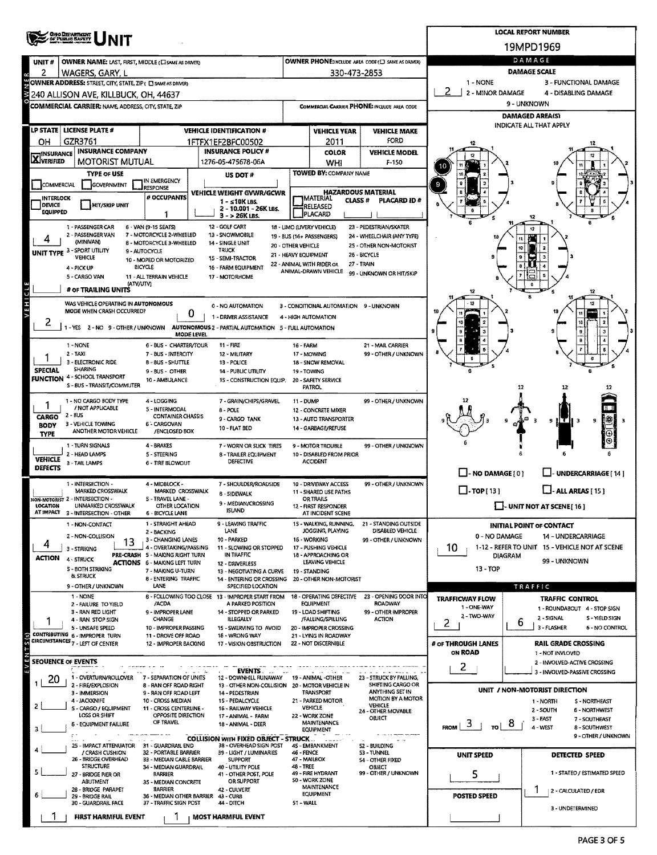| <b>CHO DEPARTMENT</b><br>OF PUBLIC BAFETT |                                                                                                                                                                                           |                                                                                                                      |                                                                        |                                                                                                                                 |                                                                 |                                       |                                                                        | <b>LOCAL REPORT NUMBER</b>                  |                                                        |  |  |  |
|-------------------------------------------|-------------------------------------------------------------------------------------------------------------------------------------------------------------------------------------------|----------------------------------------------------------------------------------------------------------------------|------------------------------------------------------------------------|---------------------------------------------------------------------------------------------------------------------------------|-----------------------------------------------------------------|---------------------------------------|------------------------------------------------------------------------|---------------------------------------------|--------------------------------------------------------|--|--|--|
|                                           |                                                                                                                                                                                           |                                                                                                                      |                                                                        |                                                                                                                                 |                                                                 |                                       | 19MPD1969                                                              |                                             |                                                        |  |  |  |
| UNIT#                                     | OWNER NAME: LAST, FIRST, MIDDLE (C) SAME AS DRIVER)                                                                                                                                       |                                                                                                                      |                                                                        | <b>OWNER PHONE:INCLUDE AREA CODE (E) SAME AS DRIVERY</b>                                                                        |                                                                 |                                       | DAMAGE                                                                 |                                             |                                                        |  |  |  |
| 2                                         | WAGERS, GARY, L                                                                                                                                                                           |                                                                                                                      |                                                                        | 330-473-2853                                                                                                                    |                                                                 |                                       | <b>DAMAGE SCALE</b>                                                    |                                             |                                                        |  |  |  |
| ζ                                         | OWNER ADDRESS: STREET, CITY, STATE, ZIP ( C SAME AS DRIVER)<br>1 - NONE<br>3 - FUNCTIONAL DAMAGE<br>2<br>2 - MINOR DAMAGE<br>4 - DISABLING DAMAGE<br>240 ALLISON AVE, KILLBUCK, OH, 44637 |                                                                                                                      |                                                                        |                                                                                                                                 |                                                                 |                                       |                                                                        |                                             |                                                        |  |  |  |
|                                           | COMMERCIAL CARRIER: NAME ADDRESS, CITY, STATE, ZIP                                                                                                                                        |                                                                                                                      |                                                                        | COMMERCIAL CARRIER PHONE: INCLUDE AREA CODE                                                                                     |                                                                 |                                       | 9 - UNKNOWN                                                            |                                             |                                                        |  |  |  |
|                                           |                                                                                                                                                                                           |                                                                                                                      |                                                                        |                                                                                                                                 |                                                                 |                                       | <b>DAMAGED AREA(S)</b>                                                 |                                             |                                                        |  |  |  |
|                                           | LP STATE   LICENSE PLATE #                                                                                                                                                                | <b>VEHICLE IDENTIFICATION #</b>                                                                                      |                                                                        | <b>VEHICLE YEAR</b>                                                                                                             | <b>VEHICLE MAKE</b>                                             |                                       |                                                                        | INDICATE ALL THAT APPLY                     |                                                        |  |  |  |
| OΗ                                        | GZR3761                                                                                                                                                                                   |                                                                                                                      | 1FTFX1EF2BFC00502                                                      |                                                                                                                                 | 2011                                                            | FORD                                  |                                                                        |                                             |                                                        |  |  |  |
| <b>X</b> INSURANCE                        | <b>INSURANCE COMPANY</b>                                                                                                                                                                  |                                                                                                                      | <b>INSURANCE POLICY #</b>                                              |                                                                                                                                 | <b>COLOR</b>                                                    | <b>VEHICLE MODEL</b>                  |                                                                        |                                             |                                                        |  |  |  |
|                                           | <b>MOTORIST MUTUAL</b><br><b>TYPE OF USE</b>                                                                                                                                              |                                                                                                                      | 1276-05-475678-06A                                                     |                                                                                                                                 | WHI<br><b>TOWED BY: COMPANY NAME</b>                            | $F-150$                               |                                                                        |                                             |                                                        |  |  |  |
| COMMERCIAL                                | GOVERNMENT                                                                                                                                                                                | IN EMERGENCY                                                                                                         | US DOT #                                                               |                                                                                                                                 |                                                                 |                                       | 9                                                                      |                                             |                                                        |  |  |  |
| <b>INTERLOCK</b>                          |                                                                                                                                                                                           | <b>RESPONSE</b><br># OCCUPANTS                                                                                       | VEHICLE WEIGHT GVWR/GCWR                                               |                                                                                                                                 | <b>HAZARDOUS MATERIAL</b><br><b>IMATERIAL</b><br><b>CLASS #</b> | <b>PLACARD ID#</b>                    |                                                                        |                                             |                                                        |  |  |  |
| <b>DEVICE</b><br><b>EQUIPPED</b>          | <b>HIT/SKIP UNIT</b>                                                                                                                                                                      |                                                                                                                      | $1 - 510$ KLBS.<br>2 - 10.001 - 26K LBs.                               | RELEASED<br>PLACARD                                                                                                             |                                                                 |                                       |                                                                        |                                             |                                                        |  |  |  |
|                                           | 1 - PASSENGER CAR                                                                                                                                                                         | 1<br>6 - VAN (9-15 SEATS)                                                                                            | 3 - > 26K LBS.<br>12 - GOLF CART                                       |                                                                                                                                 | 18 - LIMO (LIVERY VEHICLE)                                      | 23 - PEDESTRIAN/SKATER                |                                                                        |                                             |                                                        |  |  |  |
|                                           | 2 - PASSENGER VAN                                                                                                                                                                         | 7 - MOTORCYCLE 2-WHEELED                                                                                             | 13 - SNOWMOBILE                                                        |                                                                                                                                 | 19 - BUS (16+ PASSENGERS)                                       | 24 - WHEELCHAIR (ANY TYPE)            |                                                                        |                                             | 12                                                     |  |  |  |
|                                           | (MINIVAN)<br>UNIT TYPE 3 - SPORT UTILITY                                                                                                                                                  | 8 - MOTORCYCLE 3-WHEELED<br>9 - AUTOCYCLE                                                                            | 14 - SINGLE UNIT<br>TRUCK                                              | 20 - OTHER VEHICLE                                                                                                              |                                                                 | 25 - OTHER NON-MOTORIST               |                                                                        | 10                                          |                                                        |  |  |  |
|                                           | <b>VEHICLE</b>                                                                                                                                                                            | 10 - MOPED OR MOTORIZED<br><b>BICYCLE</b>                                                                            | 15 - SEMI-TRACTOR                                                      |                                                                                                                                 | 21 - HEAVY EQUIPMENT<br>22 - ANIMAL WITH RIDER OR               | 25 - BICYCLE<br>27 - TRAIN            |                                                                        |                                             |                                                        |  |  |  |
|                                           | 4 - PICK UP<br>5 - CARGO VAN                                                                                                                                                              | 11 - ALL TERRAIN VEHICLE                                                                                             | 16 - FARM EQUIPMENT<br>17 - MOTORHOME                                  |                                                                                                                                 | ANIMAL-DRAWN VEHICLE                                            | 99 - UNKNOWN OR HIT/SKIP              |                                                                        |                                             |                                                        |  |  |  |
|                                           | (ATV/UTV)<br># OF TRAILING UNITS                                                                                                                                                          |                                                                                                                      |                                                                        |                                                                                                                                 |                                                                 |                                       |                                                                        |                                             |                                                        |  |  |  |
| VEHICLE                                   | WAS VEHICLE OPERATING IN AUTONOMOUS                                                                                                                                                       |                                                                                                                      | 0 - NO AUTOMATION                                                      |                                                                                                                                 | 3 - CONDITIONAL AUTOMATION 9 - UNKNOWN                          |                                       |                                                                        |                                             |                                                        |  |  |  |
|                                           | MODE WHEN CRASH OCCURRED?                                                                                                                                                                 | 0                                                                                                                    | 1 - DRIVER ASSISTANCE                                                  |                                                                                                                                 | 4 - HIGH AUTOMATION                                             |                                       |                                                                        |                                             |                                                        |  |  |  |
| 2                                         | 1-YES 2-NO 9-OTHER/UNKNOWN                                                                                                                                                                |                                                                                                                      | AUTONOMOUS 2 - PARTIAL AUTOMATION 5 - FULL AUTOMATION                  |                                                                                                                                 |                                                                 |                                       | 10<br>з                                                                |                                             |                                                        |  |  |  |
|                                           | 1 - NONE                                                                                                                                                                                  | MODE LEVEL<br>6 - BUS - CHARTER/TOUR                                                                                 | 11 - FIRE                                                              |                                                                                                                                 |                                                                 | 21 - MAIL CARRIER                     |                                                                        |                                             |                                                        |  |  |  |
|                                           | $2 - TAXI$<br>7 - BUS - INTERCITY<br>12 - MILITARY                                                                                                                                        |                                                                                                                      |                                                                        | 16 - FARM<br>99 - OTHER / UNKNOWN<br>17 - MOWING                                                                                |                                                                 |                                       |                                                                        |                                             |                                                        |  |  |  |
| <b>SPECIAL</b>                            | 3 - ELECTRONIC RIDE<br>SHARING                                                                                                                                                            | 8-8US SHUTTLE<br>13 - POLICE<br>9 - BUS - OTHER<br>14 - PUBLIC UTILITY<br>10 - AMBULANCE<br>15 - CONSTRUCTION EQUIP. |                                                                        |                                                                                                                                 | 18 - SNOW REMOVAL<br>19 - TOWING                                |                                       |                                                                        |                                             |                                                        |  |  |  |
|                                           | <b>FUNCTION</b> 4 - SCHOOL TRANSPORT                                                                                                                                                      |                                                                                                                      |                                                                        |                                                                                                                                 | 20 - SAFETY SERVICE                                             |                                       |                                                                        |                                             |                                                        |  |  |  |
|                                           | S - BUS - TRANSIT/COMMUTER                                                                                                                                                                |                                                                                                                      | PATROL                                                                 |                                                                                                                                 |                                                                 |                                       | 12                                                                     | 12                                          |                                                        |  |  |  |
|                                           | 1 - NO CARGO BODY TYPE<br>/ NOT APPLICABLE                                                                                                                                                | 4 - LOGGING<br>5 - INTERMODAL                                                                                        | 7 - GRAIN/CHIPS/GRAVEL<br>8 - POLE                                     | 11 - DUMP                                                                                                                       |                                                                 | 99 - OTHER / UNKNOWN                  |                                                                        |                                             |                                                        |  |  |  |
| <b>CARGO</b>                              | 2 - BUS                                                                                                                                                                                   | <b>CONTAINER CHASSIS</b>                                                                                             | 9 - CARGO TANK                                                         |                                                                                                                                 | 12 - CONCRETE MIXER<br>13 - AUTO TRANSPORTER                    |                                       |                                                                        | 9<br><u>HT II 3</u><br>9                    |                                                        |  |  |  |
| <b>BODY</b><br><b>TYPE</b>                | 3 - VEHICLE TOWING<br>ANOTHER MOTOR VEHICLE                                                                                                                                               | 6 - CARGOVAN<br>/ENCLOSED BOX                                                                                        | 10 - FLAT BED                                                          | 14 - GARBAGE/REFUSE                                                                                                             |                                                                 |                                       |                                                                        |                                             |                                                        |  |  |  |
|                                           | 1 - TURN SIGNALS                                                                                                                                                                          | 4 - BRAKES                                                                                                           | 7 - WORN OR SLICK TIRES                                                |                                                                                                                                 | 9 - MOTOR TROUBLE                                               | 99 - OTHER / UNKNOWN                  |                                                                        |                                             |                                                        |  |  |  |
| <b>VEHICLE</b>                            | 2 - HEAD LAMPS<br>3 - TAIL LAMPS                                                                                                                                                          | 5 - STEERING<br><b>6 - TIRE BLOWOUT</b>                                                                              | <b>8 - TRAILER EQUIPMENT</b><br>DEFECTIVE                              |                                                                                                                                 | 10 - DISABLED FROM PRIOR<br><b>ACCIDENT</b>                     |                                       |                                                                        |                                             |                                                        |  |  |  |
| <b>DEFECTS</b>                            |                                                                                                                                                                                           |                                                                                                                      |                                                                        |                                                                                                                                 |                                                                 |                                       | $\Box$ - NO DAMAGE [ 0 ]                                               |                                             | UNDERCARRIAGE [ 14 ]                                   |  |  |  |
|                                           | 1 - INTERSECTION -<br><b>MARKED CROSSWALK</b>                                                                                                                                             | 4 - MIDBLOCK -<br>MARKED CROSSWALK                                                                                   | 7 - SHOULDER/ROADSIDE                                                  | 10 - DRIVEWAY ACCESS                                                                                                            |                                                                 | 99 - OTHER / UNKNOWN                  | $\Box$ - TOP [ 13 ]                                                    |                                             | $\Box$ - ALL AREAS [ 15 ]                              |  |  |  |
|                                           | NON-MOTORIST 2 - INTERSECTION -                                                                                                                                                           | 5 - TRAVEL LANE -                                                                                                    | 8 - SIDEWALK<br>9 - MEDIAN/CROSSING                                    | 11 - SHARED USE PATHS<br><b>OR TRAILS</b>                                                                                       |                                                                 |                                       |                                                                        |                                             |                                                        |  |  |  |
| LOCATION                                  | UNMARKED CROSSWALK<br>AT IMPACT 3 - INTERSECTION - OTHER                                                                                                                                  | OTHER LOCATION<br>6 - BICYCLE LANE                                                                                   | <b>ISLAND</b>                                                          | 12 - FIRST RESPONDER<br>AT INCIDENT SCENE                                                                                       |                                                                 |                                       | $\Box$ - UNIT NOT AT SCENE [ 16 ]                                      |                                             |                                                        |  |  |  |
|                                           | 9 - LEAVING TRAFFIC<br>1 - STRAIGHT AHEAD<br>1 - NON-CONTACT<br>LANE                                                                                                                      |                                                                                                                      |                                                                        | 21 - STANDING OUTSIDE<br>15 - WALKING, RUNNING,<br>JOGGING, PLAYING<br>DISABLED VEHICLE<br>16 - WORKING<br>99 - OTHER / UNKNOWN |                                                                 |                                       |                                                                        |                                             | <b>INITIAL POINT OF CONTACT</b>                        |  |  |  |
| 4                                         | 2 - BACKING<br>2 - NON-COLLISION<br>10 - PARKED<br>3 - CHANGING LANES<br>13                                                                                                               |                                                                                                                      |                                                                        |                                                                                                                                 |                                                                 |                                       | 0 - NO DAMAGE<br><b>14 - UNDERCARRIAGE</b>                             |                                             |                                                        |  |  |  |
| <b>ACTION</b>                             | 3 - STRIKING                                                                                                                                                                              | 4 - OVERTAKING/PASSING<br>PRE-CRASH 5 - MAKING RIGHT TURN                                                            | 11 - SLOWING OR STOPPED<br>IN TRAFFIC                                  | 17 - PUSHING VEHICLE<br>18 - APPROACHING OR                                                                                     |                                                                 |                                       | 10<br>1-12 - REFER TO UNIT 15 - VEHICLE NOT AT SCENE<br><b>DIAGRAM</b> |                                             |                                                        |  |  |  |
|                                           | 4 - STRUCK<br><b>S - BOTH STRIKING</b>                                                                                                                                                    | <b>ACTIONS 6 - MAKING LEFT TURN</b><br>7 - MAKING U-TURN                                                             | 12 - DRIVERLESS<br>13 - NEGOTIATING A CURVE                            |                                                                                                                                 | LEAVING VEHICLE<br>19 - STANDING                                |                                       | $13 - TOP$                                                             |                                             | 99 - UNKNOWN                                           |  |  |  |
|                                           | & STRUCK                                                                                                                                                                                  | <b>8 - ENTERING TRAFFIC</b>                                                                                          | 14 - ENTERING OR CROSSING                                              |                                                                                                                                 | 20 - OTHER NON-MOTORIST                                         |                                       |                                                                        |                                             |                                                        |  |  |  |
|                                           | 9 - OTHER / UNKNOWN<br>1 - NONE                                                                                                                                                           | LANE                                                                                                                 | SPECIFIED LOCATION<br>8 - FOLLOWING TOO CLOSE 13 - IMPROPER START FROM |                                                                                                                                 | 18 - OPERATING DEFECTIVE                                        | 23 - OPENING DOOR INTO                | <b>TRAFFICWAY FLOW</b>                                                 |                                             | TRAFFIC<br><b>TRAFFIC CONTROL</b>                      |  |  |  |
|                                           | 2 - FAILURE TO YIELD<br>3 - RAN RED LIGHT                                                                                                                                                 | /ACDA<br>9 - IMPROPER LANE                                                                                           | A PARKED POSITION<br>14 - STOPPED OR PARKED                            |                                                                                                                                 | <b>EQUIPMENT</b><br>19 - LOAD SHIFTING                          | <b>ROADWAY</b><br>99 - OTHER IMPROPER | 1 - ONE-WAY                                                            |                                             | 1 - ROUNDABOUT 4 - STOP SIGN                           |  |  |  |
|                                           | 4 - RAN STOP SIGN                                                                                                                                                                         | <b>CHANGE</b>                                                                                                        | <b>ILLEGALLY</b>                                                       |                                                                                                                                 | /FALLING/SPILLING                                               | <b>ACTION</b>                         | 2 - TWO-WAY<br>2                                                       | 6                                           | 2 - SIGNAL<br>S - YIELD SIGN                           |  |  |  |
|                                           | 5 - UNSAFE SPEED<br>CONTRIBUTING 6 - IMPROPER TURN                                                                                                                                        | 10 - IMPROPER PASSING<br>11 - DROVE OFF ROAD                                                                         | 15 - SWERVING TO AVOID<br>16 - WRONG WAY                               |                                                                                                                                 | 20 - IMPROPER CROSSING<br>21 - LYING IN ROADWAY                 |                                       |                                                                        |                                             | 3 - FLASHER<br>6 - NO CONTROL                          |  |  |  |
| (5/5)                                     | CIRCUMSTANCES 7 - LEFT OF CENTER                                                                                                                                                          | 12 - IMPROPER BACKING                                                                                                | 17 - VISION OBSTRUCTION                                                |                                                                                                                                 | 22 - NOT DISCERNIBLE                                            |                                       | # of THROUGH LANES<br>ON ROAD                                          |                                             | <b>RAIL GRADE CROSSING</b>                             |  |  |  |
| ξN                                        | <b>SEQUENCE OF EVENTS</b>                                                                                                                                                                 |                                                                                                                      |                                                                        |                                                                                                                                 |                                                                 |                                       |                                                                        |                                             | 1 - NOT INVLOVED<br>2 - INVOLVED-ACTIVE CROSSING       |  |  |  |
|                                           | 1 - OVERTURN/ROLLOVER                                                                                                                                                                     | 7 - SEPARATION OF UNITS                                                                                              | EVENTS.<br>12 - DOWNHILL RUNAWAY 19 - ANIMAL -OTHER                    |                                                                                                                                 |                                                                 | 23 - STRUCK BY FALLING,               | Z.                                                                     |                                             | 3 - INVOLVED-PASSIVE CROSSING                          |  |  |  |
| 20                                        | 2 - FIRE/EXPLOSION                                                                                                                                                                        | 8 - RAN OFF ROAD RIGHT                                                                                               | 13 - OTHER NON-COLLISION 20 - MOTOR VEHICLE IN                         |                                                                                                                                 |                                                                 | SHIFTING CARGO OR<br>ANYTHING SET IN  |                                                                        |                                             | UNIT / NON-MOTORIST DIRECTION                          |  |  |  |
|                                           | 3 - IMMERSION<br>4 - JACKKNIFE                                                                                                                                                            | 9 - RAN OFF ROAD LEFT<br>10 - CROSS MEDIAN                                                                           | 14 - PEDESTRIAN<br>1S - PEDALCYCLE<br>16 - RAILWAY VEHICLE             |                                                                                                                                 | TRANSPORT<br>21 - PARKED MOTOR                                  | MOTION BY A MOTOR<br>VEHICLE          |                                                                        |                                             | 1 - NORTH<br><b>S-NORTHEAST</b>                        |  |  |  |
|                                           | 5 - CARGO / EQUIPMENT<br>LOSS OR SHIFT                                                                                                                                                    | 11 - CROSS CENTERLINE -<br>OPPOSITE DIRECTION                                                                        |                                                                        | <b>VEHICLE</b><br>22 - WORK ZONE                                                                                                | 24 - OTHER MOVABLE<br>OBJECT                                    |                                       |                                                                        | 2 - SOUTH<br><b>6 - NORTHWEST</b>           |                                                        |  |  |  |
|                                           | 6 - EQUIPMENT FAILURE                                                                                                                                                                     | OF TRAVEL                                                                                                            | 17 - ANIMAL - FARM<br>18 - ANIMAL - DEER                               |                                                                                                                                 | MAINTENANCE<br><b>EQUIPMENT</b>                                 |                                       | 3<br>τo Ι<br><b>FROM</b>                                               | 8                                           | 3 - EAST<br>7 - SOUTHEAST<br>4 - WEST<br>8 - SOUTHWEST |  |  |  |
|                                           |                                                                                                                                                                                           |                                                                                                                      | <b>COLLISION WITH FIXED OBJECT - STRUCK</b>                            |                                                                                                                                 |                                                                 |                                       |                                                                        |                                             | 9 - OTHER / UNKNOWN                                    |  |  |  |
|                                           | 25 - IMPACT ATTENUATOR 31 - GUARDRAIL END<br>/ CRASH CUSHION                                                                                                                              | 32 - PORTABLE BARRIER                                                                                                | 38 - OVERHEAD SIGN POST<br>39 - LIGHT / LUMINARIES                     | 46 - FENCE                                                                                                                      | 45 - EMBANKMENT                                                 | 52 - BUILDING<br>53 - TUNNEL          | <b>UNIT SPEED</b>                                                      |                                             | DETECTED SPEED                                         |  |  |  |
|                                           | 26 - BRIDGE OVERHEAD<br><b>STRUCTURE</b>                                                                                                                                                  | 33 - MEDIAN CABLE BARRIER<br>34 - MEDIAN GUARDRAIL                                                                   | <b>SUPPORT</b><br>40 - UTILITY POLE                                    | 47 - MAILBOX<br>48 - TREE                                                                                                       |                                                                 | 54 - OTHER FIXED<br>OBJECT            |                                                                        |                                             |                                                        |  |  |  |
|                                           | 27 - BRIDGE PIER OR<br>ABUTMENT                                                                                                                                                           | <b>BARRIER</b><br>41 - OTHER POST, POLE<br>OR SUPPORT<br>35 - MEDIAN CONCRETE                                        |                                                                        | 49 - FIRE HYDRANT<br>SO - WORK ZONE                                                                                             |                                                                 | 99 - OTHER / UNKNOWN                  | 5                                                                      |                                             | 1 - STATED / ESTIMATED SPEED                           |  |  |  |
|                                           | 28 - BRIDGE PARAPET<br>29 - BRIDGE RAIL                                                                                                                                                   | <b>BARRIER</b><br>36 - MEDIAN OTHER BARRIER 43 - CURB                                                                | 42 - CULVERT                                                           |                                                                                                                                 | MAINTENANCE<br><b>EQUIPMENT</b>                                 |                                       |                                                                        | 2 - CALCULATED / EDR<br><b>POSTED SPEED</b> |                                                        |  |  |  |
|                                           | 30 - GUARDRAIL FACE                                                                                                                                                                       | 37 - TRAFFIC SIGN POST                                                                                               | 44 - DITCH                                                             | 51 - WALL                                                                                                                       |                                                                 |                                       |                                                                        |                                             | 3 - UNDETERMINED                                       |  |  |  |
|                                           | <b>FIRST HARMFUL EVENT</b>                                                                                                                                                                |                                                                                                                      | <b>MOST HARMFUL EVENT</b>                                              |                                                                                                                                 |                                                                 |                                       |                                                                        |                                             |                                                        |  |  |  |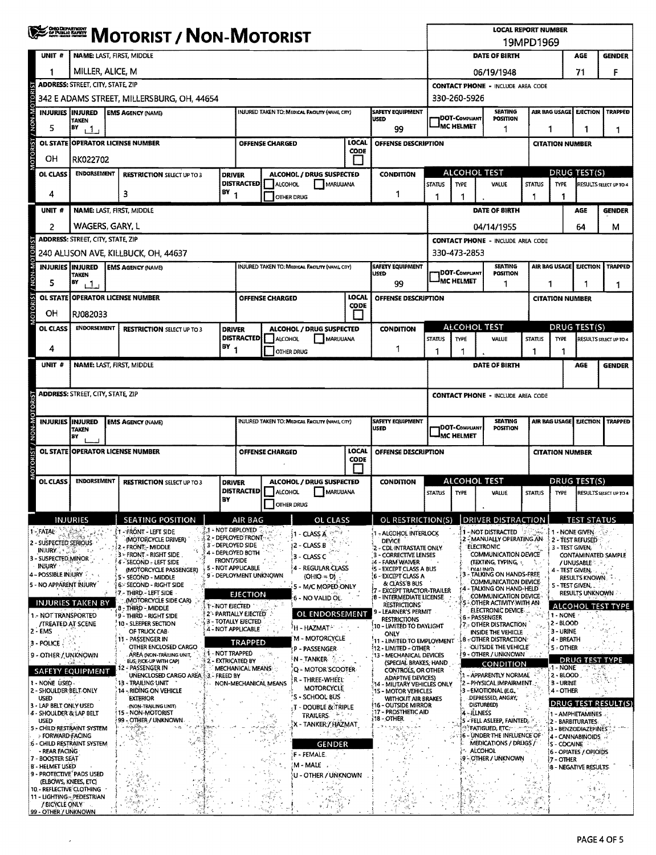| 19MPD1969<br>DATE OF BIRTH<br><b>CONTACT PHONE - INCLUDE AREA CODE</b><br><b>POSITION</b><br>1 | AGE<br>71<br>AIR BAG USAGE EJECTION<br>1                                                                                                                                                                                     | <b>GENDER</b><br>F<br><b>TRAPPED</b>                                                                                                                                                                                                                                                                                                                                                                      |  |  |  |
|------------------------------------------------------------------------------------------------|------------------------------------------------------------------------------------------------------------------------------------------------------------------------------------------------------------------------------|-----------------------------------------------------------------------------------------------------------------------------------------------------------------------------------------------------------------------------------------------------------------------------------------------------------------------------------------------------------------------------------------------------------|--|--|--|
|                                                                                                |                                                                                                                                                                                                                              |                                                                                                                                                                                                                                                                                                                                                                                                           |  |  |  |
|                                                                                                |                                                                                                                                                                                                                              |                                                                                                                                                                                                                                                                                                                                                                                                           |  |  |  |
|                                                                                                |                                                                                                                                                                                                                              |                                                                                                                                                                                                                                                                                                                                                                                                           |  |  |  |
|                                                                                                |                                                                                                                                                                                                                              |                                                                                                                                                                                                                                                                                                                                                                                                           |  |  |  |
|                                                                                                |                                                                                                                                                                                                                              |                                                                                                                                                                                                                                                                                                                                                                                                           |  |  |  |
|                                                                                                | 1                                                                                                                                                                                                                            |                                                                                                                                                                                                                                                                                                                                                                                                           |  |  |  |
|                                                                                                | <b>CITATION NUMBER</b>                                                                                                                                                                                                       |                                                                                                                                                                                                                                                                                                                                                                                                           |  |  |  |
|                                                                                                |                                                                                                                                                                                                                              |                                                                                                                                                                                                                                                                                                                                                                                                           |  |  |  |
| <b>STATUS</b>                                                                                  | DRUG TEST(S)<br><b>TYPE</b>                                                                                                                                                                                                  | RESULTS SELECT UP TO 4                                                                                                                                                                                                                                                                                                                                                                                    |  |  |  |
| 1                                                                                              | 1                                                                                                                                                                                                                            |                                                                                                                                                                                                                                                                                                                                                                                                           |  |  |  |
| DATE OF BIRTH                                                                                  | <b>AGE</b>                                                                                                                                                                                                                   | <b>GENDER</b>                                                                                                                                                                                                                                                                                                                                                                                             |  |  |  |
|                                                                                                | 64<br>м                                                                                                                                                                                                                      |                                                                                                                                                                                                                                                                                                                                                                                                           |  |  |  |
| <b>CONTACT PHONE - INCLUDE AREA CODE</b>                                                       |                                                                                                                                                                                                                              |                                                                                                                                                                                                                                                                                                                                                                                                           |  |  |  |
|                                                                                                |                                                                                                                                                                                                                              | <b>TRAPPED</b>                                                                                                                                                                                                                                                                                                                                                                                            |  |  |  |
| <b>POSITION</b>                                                                                | 1                                                                                                                                                                                                                            |                                                                                                                                                                                                                                                                                                                                                                                                           |  |  |  |
|                                                                                                |                                                                                                                                                                                                                              |                                                                                                                                                                                                                                                                                                                                                                                                           |  |  |  |
|                                                                                                |                                                                                                                                                                                                                              |                                                                                                                                                                                                                                                                                                                                                                                                           |  |  |  |
|                                                                                                |                                                                                                                                                                                                                              |                                                                                                                                                                                                                                                                                                                                                                                                           |  |  |  |
| <b>STATUS</b>                                                                                  | <b>TYPE</b>                                                                                                                                                                                                                  | RESULTS SELECT UP TO 4                                                                                                                                                                                                                                                                                                                                                                                    |  |  |  |
|                                                                                                |                                                                                                                                                                                                                              | <b>GENDER</b>                                                                                                                                                                                                                                                                                                                                                                                             |  |  |  |
|                                                                                                |                                                                                                                                                                                                                              |                                                                                                                                                                                                                                                                                                                                                                                                           |  |  |  |
| <b>CONTACT PHONE - INCLUDE AREA CODE</b>                                                       |                                                                                                                                                                                                                              |                                                                                                                                                                                                                                                                                                                                                                                                           |  |  |  |
|                                                                                                |                                                                                                                                                                                                                              |                                                                                                                                                                                                                                                                                                                                                                                                           |  |  |  |
| <b>SEATING</b><br><b>IDOT-COMPLIANT</b><br>POSITION<br>-IMC HELMET                             |                                                                                                                                                                                                                              |                                                                                                                                                                                                                                                                                                                                                                                                           |  |  |  |
|                                                                                                | <b>CITATION NUMBER</b>                                                                                                                                                                                                       |                                                                                                                                                                                                                                                                                                                                                                                                           |  |  |  |
|                                                                                                | DRUG TEST(S)                                                                                                                                                                                                                 |                                                                                                                                                                                                                                                                                                                                                                                                           |  |  |  |
| <b>STATUS</b>                                                                                  | TYPE                                                                                                                                                                                                                         | <b>RESULTS SELECT UP TO 4</b>                                                                                                                                                                                                                                                                                                                                                                             |  |  |  |
|                                                                                                |                                                                                                                                                                                                                              |                                                                                                                                                                                                                                                                                                                                                                                                           |  |  |  |
|                                                                                                |                                                                                                                                                                                                                              |                                                                                                                                                                                                                                                                                                                                                                                                           |  |  |  |
| ਿਲ ਅਤੇ                                                                                         |                                                                                                                                                                                                                              |                                                                                                                                                                                                                                                                                                                                                                                                           |  |  |  |
| (TEXTING, TYPING, 5)                                                                           | /UNUSABLE - 2                                                                                                                                                                                                                | CONTAMINATED SAMPLE                                                                                                                                                                                                                                                                                                                                                                                       |  |  |  |
| TALKING ON HANDS-FREE                                                                          | <b>RESULTS KNOWN.</b>                                                                                                                                                                                                        |                                                                                                                                                                                                                                                                                                                                                                                                           |  |  |  |
| TALKING ON HAND-HELD<br>COMMUNICATION DEVICE                                                   | <b>RESULTS UNKNOWN</b>                                                                                                                                                                                                       |                                                                                                                                                                                                                                                                                                                                                                                                           |  |  |  |
| OTHER ACTIVITY WITH AN<br>ELECTRONIC DEVICE-                                                   |                                                                                                                                                                                                                              | ALCOHOL TEST TYPE                                                                                                                                                                                                                                                                                                                                                                                         |  |  |  |
| 7 - OTHER DISTRACTION                                                                          |                                                                                                                                                                                                                              |                                                                                                                                                                                                                                                                                                                                                                                                           |  |  |  |
| 8 - OTHER DISTRACTION:                                                                         |                                                                                                                                                                                                                              |                                                                                                                                                                                                                                                                                                                                                                                                           |  |  |  |
| <b>F9 - OTHER / UNKNOWN</b>                                                                    | 5 - OTHER<br>DRUG TEST TYPE                                                                                                                                                                                                  |                                                                                                                                                                                                                                                                                                                                                                                                           |  |  |  |
|                                                                                                | $-1 - NONE$<br>$2 - BLOOD$                                                                                                                                                                                                   |                                                                                                                                                                                                                                                                                                                                                                                                           |  |  |  |
| 2 - PHYSICAL IMPAIRMENT.                                                                       | 3 - URINE<br>4 - OTHER                                                                                                                                                                                                       |                                                                                                                                                                                                                                                                                                                                                                                                           |  |  |  |
| DEPRESSED, ANGRY,                                                                              | <b>DRUG TEST RESULT(S)</b>                                                                                                                                                                                                   |                                                                                                                                                                                                                                                                                                                                                                                                           |  |  |  |
| 5 - FELL ASLEEP, FAINTED,                                                                      | 1 - AMPHETAMINES<br>2 - BARBITURATES:                                                                                                                                                                                        |                                                                                                                                                                                                                                                                                                                                                                                                           |  |  |  |
| <b>STATIGUED, ETC.</b><br>6 - UNDER THE INFLUENCE OF<br>MEDICATIONS / DRUGS /                  |                                                                                                                                                                                                                              | )3 - BENZODIAZEPINES<br>4 - CANNABINOIDS                                                                                                                                                                                                                                                                                                                                                                  |  |  |  |
|                                                                                                |                                                                                                                                                                                                                              |                                                                                                                                                                                                                                                                                                                                                                                                           |  |  |  |
|                                                                                                |                                                                                                                                                                                                                              |                                                                                                                                                                                                                                                                                                                                                                                                           |  |  |  |
|                                                                                                |                                                                                                                                                                                                                              |                                                                                                                                                                                                                                                                                                                                                                                                           |  |  |  |
|                                                                                                |                                                                                                                                                                                                                              |                                                                                                                                                                                                                                                                                                                                                                                                           |  |  |  |
| <b>SEATING</b>                                                                                 | 1<br>DATE OF BIRTH<br>DRIVER DISTRACTION<br>2 - MANUALLY OPERATING AN<br>COMMUNICATION DEVICE<br>COMMUNICATION DEVICE<br>INSIDE THE VEHICLE<br>OUTSIDE THE VEHICLE<br>CONDITION<br>1 - APPARENTLY NORMAL<br>Cother / Unknown | AIR BAG USAGE<br><b>EJECTION</b><br>1<br><b>CITATION NUMBER</b><br><b>DRUG TEST(S)</b><br>1<br>AGE<br>AIR BAG USAGE<br><b>EJECTION TRAPPED</b><br><b>TEST STATUS</b><br>1 - NONE GIVEN<br>2 - TEST REFUSED<br>3 - TEST GIVEN,<br>4 - TEST GIVEN,<br>S - TEST GIVEN<br>1 - NONE<br>2 - BLOOD<br>3 - URINE<br>4 - BREATH<br><b>S-COCAINE</b><br>6 - OPIATES / OPIOIDS<br>∤7 - OTHER<br>8 - NEGATIVE RESULTS |  |  |  |

 $\mathcal{A}^{\mathcal{A}}$